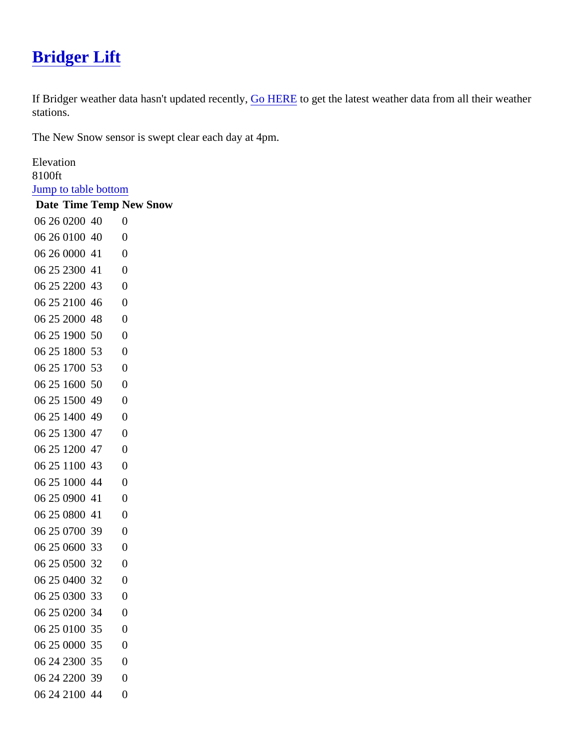## [Bridger Lift](https://www.mtavalanche.com/weather/stations/bridger-lift)

If Bridger weather data hasn't updated recertly, HERE to get the latest weather data from all their weather stations.

The New Snow sensor is swept clear each day at 4pm.